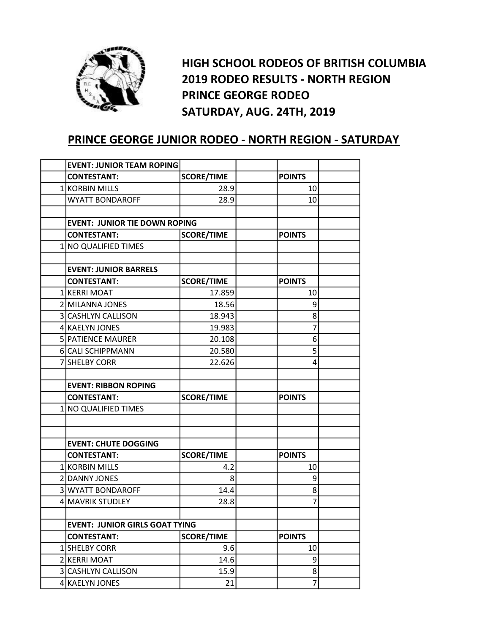

HIGH SCHOOL RODEOS OF BRITISH COLUMBIA 2019 RODEO RESULTS - NORTH REGION PRINCE GEORGE RODEO SATURDAY, AUG. 24TH, 2019

## PRINCE GEORGE JUNIOR RODEO - NORTH REGION - SATURDAY

| <b>EVENT: JUNIOR TEAM ROPING</b>      |                   |  |                |  |
|---------------------------------------|-------------------|--|----------------|--|
| <b>CONTESTANT:</b>                    | <b>SCORE/TIME</b> |  | <b>POINTS</b>  |  |
| 1 KORBIN MILLS                        | 28.9              |  | 10             |  |
| <b>WYATT BONDAROFF</b>                | 28.9              |  | 10             |  |
|                                       |                   |  |                |  |
| <b>EVENT: JUNIOR TIE DOWN ROPING</b>  |                   |  |                |  |
| <b>CONTESTANT:</b>                    | <b>SCORE/TIME</b> |  |                |  |
| 1 NO QUALIFIED TIMES                  |                   |  |                |  |
|                                       |                   |  |                |  |
| <b>EVENT: JUNIOR BARRELS</b>          |                   |  |                |  |
| <b>CONTESTANT:</b>                    | <b>SCORE/TIME</b> |  | <b>POINTS</b>  |  |
| 1 KERRI MOAT                          | 17.859            |  | 10             |  |
| 2 MILANNA JONES                       | 18.56             |  | 9              |  |
| 3 CASHLYN CALLISON                    | 18.943            |  | 8              |  |
| 4 KAELYN JONES                        | 19.983            |  | 7              |  |
| 5 PATIENCE MAURER                     | 20.108            |  | 6              |  |
| <b>6</b> CALI SCHIPPMANN              | 20.580            |  | 5              |  |
| 7 SHELBY CORR                         | 22.626            |  | 4              |  |
|                                       |                   |  |                |  |
| <b>EVENT: RIBBON ROPING</b>           |                   |  |                |  |
| <b>CONTESTANT:</b>                    | <b>SCORE/TIME</b> |  | <b>POINTS</b>  |  |
| 1 NO QUALIFIED TIMES                  |                   |  |                |  |
|                                       |                   |  |                |  |
|                                       |                   |  |                |  |
| <b>EVENT: CHUTE DOGGING</b>           |                   |  |                |  |
| <b>CONTESTANT:</b>                    | <b>SCORE/TIME</b> |  | <b>POINTS</b>  |  |
| <b>1 KORBIN MILLS</b>                 | 4.2               |  | 10             |  |
| 2 DANNY JONES                         | 8                 |  | 9              |  |
| 3 WYATT BONDAROFF                     | 14.4              |  | 8              |  |
| 4 MAVRIK STUDLEY                      | 28.8              |  | $\overline{7}$ |  |
|                                       |                   |  |                |  |
| <b>EVENT: JUNIOR GIRLS GOAT TYING</b> |                   |  |                |  |
| <b>CONTESTANT:</b>                    | <b>SCORE/TIME</b> |  | <b>POINTS</b>  |  |
| 1 SHELBY CORR                         | 9.6               |  | 10             |  |
| 2 KERRI MOAT                          | 14.6              |  | 9              |  |
| 3 CASHLYN CALLISON                    | 15.9              |  | 8 <sup>1</sup> |  |
| 4 KAELYN JONES                        | 21                |  | $\overline{7}$ |  |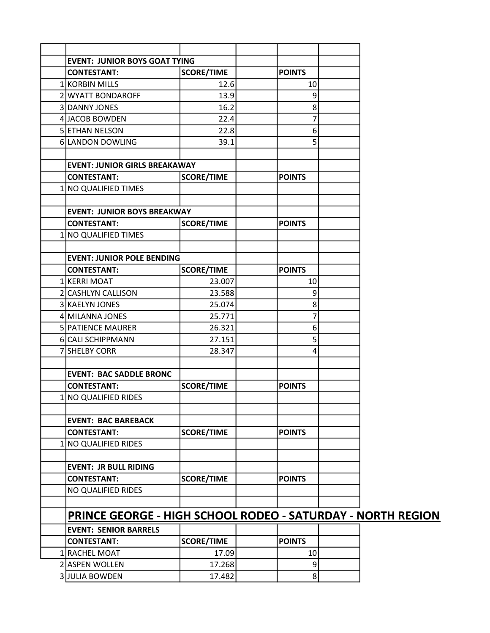| <b>EVENT: JUNIOR BOYS GOAT TYING</b>                        |                   |               |                |  |
|-------------------------------------------------------------|-------------------|---------------|----------------|--|
| <b>CONTESTANT:</b>                                          | <b>SCORE/TIME</b> | <b>POINTS</b> |                |  |
| 1 KORBIN MILLS                                              | 12.6              |               | 10             |  |
| 2 WYATT BONDAROFF                                           | 13.9              |               | 9              |  |
| 3 DANNY JONES                                               | 16.2              |               | 8 <sup>1</sup> |  |
| 4 JACOB BOWDEN                                              | 22.4              |               | 7              |  |
| 5 ETHAN NELSON                                              | 22.8              |               | 6 <sup>1</sup> |  |
| 6 LANDON DOWLING                                            | 39.1              |               | 5              |  |
|                                                             |                   |               |                |  |
| <b>EVENT: JUNIOR GIRLS BREAKAWAY</b>                        |                   |               |                |  |
| <b>CONTESTANT:</b>                                          | <b>SCORE/TIME</b> | <b>POINTS</b> |                |  |
| 1 NO QUALIFIED TIMES                                        |                   |               |                |  |
|                                                             |                   |               |                |  |
| <b>EVENT: JUNIOR BOYS BREAKWAY</b>                          |                   |               |                |  |
| <b>CONTESTANT:</b>                                          | <b>SCORE/TIME</b> | <b>POINTS</b> |                |  |
| 1 NO QUALIFIED TIMES                                        |                   |               |                |  |
|                                                             |                   |               |                |  |
| <b>EVENT: JUNIOR POLE BENDING</b>                           |                   |               |                |  |
| <b>CONTESTANT:</b>                                          | <b>SCORE/TIME</b> | <b>POINTS</b> |                |  |
| 1 KERRI MOAT                                                | 23.007            |               | 10             |  |
| 2 CASHLYN CALLISON                                          | 23.588            |               | 9              |  |
| 3 KAELYN JONES                                              | 25.074            |               | 8              |  |
| 4 MILANNA JONES                                             | 25.771            |               | 7              |  |
| 5 PATIENCE MAURER                                           | 26.321            |               | 6 <sup>1</sup> |  |
| 6 CALI SCHIPPMANN                                           | 27.151            |               | 5 <sup>1</sup> |  |
| 7 SHELBY CORR                                               | 28.347            |               | 4              |  |
|                                                             |                   |               |                |  |
| <b>EVENT: BAC SADDLE BRONC</b>                              |                   |               |                |  |
| <b>CONTESTANT:</b>                                          | <b>SCORE/TIME</b> | <b>POINTS</b> |                |  |
| 1 NO QUALIFIED RIDES                                        |                   |               |                |  |
|                                                             |                   |               |                |  |
| <b>EVENT: BAC BAREBACK</b>                                  |                   |               |                |  |
| <b>CONTESTANT:</b>                                          | <b>SCORE/TIME</b> | <b>POINTS</b> |                |  |
| 1 NO QUALIFIED RIDES                                        |                   |               |                |  |
|                                                             |                   |               |                |  |
| <b>EVENT: JR BULL RIDING</b>                                |                   | <b>POINTS</b> |                |  |
| <b>CONTESTANT:</b>                                          | <b>SCORE/TIME</b> |               |                |  |
| NO QUALIFIED RIDES                                          |                   |               |                |  |
| PRINCE GEORGE - HIGH SCHOOL RODEO - SATURDAY - NORTH REGION |                   |               |                |  |
| <b>EVENT: SENIOR BARRELS</b>                                |                   |               |                |  |
| <b>CONTESTANT:</b>                                          | <b>SCORE/TIME</b> | <b>POINTS</b> |                |  |
| 1 RACHEL MOAT                                               | 17.09             |               | 10             |  |
| 2 ASPEN WOLLEN                                              | 17.268            |               | $\overline{9}$ |  |
| <b>3JULIA BOWDEN</b>                                        | 17.482            |               | $\mathbf{8}$   |  |
|                                                             |                   |               |                |  |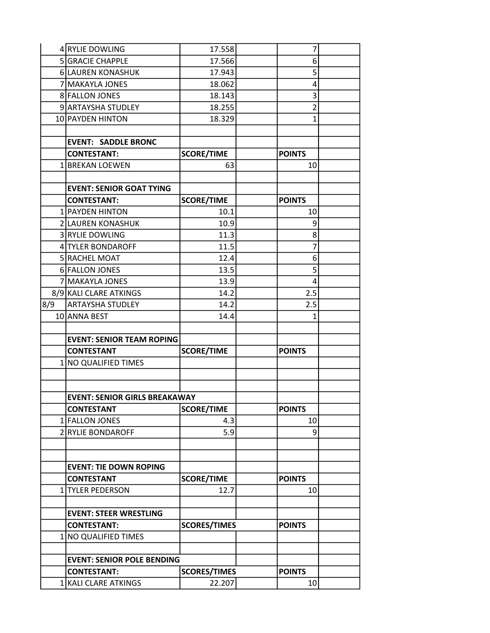|     | 4 RYLIE DOWLING                            | 17.558                        | 7                   |  |
|-----|--------------------------------------------|-------------------------------|---------------------|--|
|     | 5 GRACIE CHAPPLE                           | 17.566                        | 6                   |  |
|     | 6 LAUREN KONASHUK                          | 17.943                        | 5                   |  |
|     | 7 MAKAYLA JONES                            | 18.062                        | 4                   |  |
|     | 8 FALLON JONES                             | 18.143                        | 3                   |  |
|     | 9 ARTAYSHA STUDLEY                         | 18.255                        | $\overline{2}$      |  |
|     | 10 PAYDEN HINTON                           | 18.329                        | $\mathbf{1}$        |  |
|     |                                            |                               |                     |  |
|     | <b>EVENT: SADDLE BRONC</b>                 |                               |                     |  |
|     | <b>CONTESTANT:</b>                         | <b>SCORE/TIME</b>             | <b>POINTS</b>       |  |
|     | 1 BREKAN LOEWEN                            | 63                            | 10                  |  |
|     |                                            |                               |                     |  |
|     | <b>EVENT: SENIOR GOAT TYING</b>            |                               |                     |  |
|     | <b>CONTESTANT:</b>                         | <b>SCORE/TIME</b>             | <b>POINTS</b>       |  |
|     | 1 PAYDEN HINTON                            | 10.1                          | 10                  |  |
|     | 2 LAUREN KONASHUK                          | 10.9                          | 9                   |  |
|     | 3 RYLIE DOWLING                            | 11.3                          | 8                   |  |
|     | 4 TYLER BONDAROFF                          | 11.5                          | $\overline{7}$      |  |
|     | 5 RACHEL MOAT                              | 12.4                          | 6                   |  |
|     | 6 FALLON JONES                             | 13.5                          | 5                   |  |
|     | 7 MAKAYLA JONES                            | 13.9                          | 4                   |  |
|     | 8/9 KALI CLARE ATKINGS                     | 14.2                          | 2.5                 |  |
| 8/9 | ARTAYSHA STUDLEY                           | 14.2                          | 2.5                 |  |
|     | 10 ANNA BEST                               | 14.4                          | $\mathbf{1}$        |  |
|     |                                            |                               |                     |  |
|     | <b>EVENT: SENIOR TEAM ROPING</b>           |                               |                     |  |
|     | <b>CONTESTANT</b>                          | <b>SCORE/TIME</b>             | <b>POINTS</b>       |  |
|     | 1 NO QUALIFIED TIMES                       |                               |                     |  |
|     |                                            |                               |                     |  |
|     |                                            |                               |                     |  |
|     | <b>EVENT: SENIOR GIRLS BREAKAWAY</b>       |                               |                     |  |
|     | <b>CONTESTANT</b>                          | <b>SCORE/TIME</b>             | <b>POINTS</b>       |  |
|     | 1 FALLON JONES                             | 4.3                           | 10                  |  |
|     | 2 RYLIE BONDAROFF                          | 5.9                           | 9                   |  |
|     |                                            |                               |                     |  |
|     |                                            |                               |                     |  |
|     | <b>EVENT: TIE DOWN ROPING</b>              |                               |                     |  |
|     | <b>CONTESTANT</b>                          | <b>SCORE/TIME</b>             | <b>POINTS</b>       |  |
|     | 1 TYLER PEDERSON                           | 12.7                          | 10                  |  |
|     |                                            |                               |                     |  |
|     | <b>EVENT: STEER WRESTLING</b>              |                               |                     |  |
|     | <b>CONTESTANT:</b>                         | <b>SCORES/TIMES</b>           | <b>POINTS</b>       |  |
|     | 1 NO QUALIFIED TIMES                       |                               |                     |  |
|     |                                            |                               |                     |  |
|     | <b>EVENT: SENIOR POLE BENDING</b>          |                               |                     |  |
|     |                                            |                               |                     |  |
|     | <b>CONTESTANT:</b><br>1 KALI CLARE ATKINGS | <b>SCORES/TIMES</b><br>22.207 | <b>POINTS</b><br>10 |  |